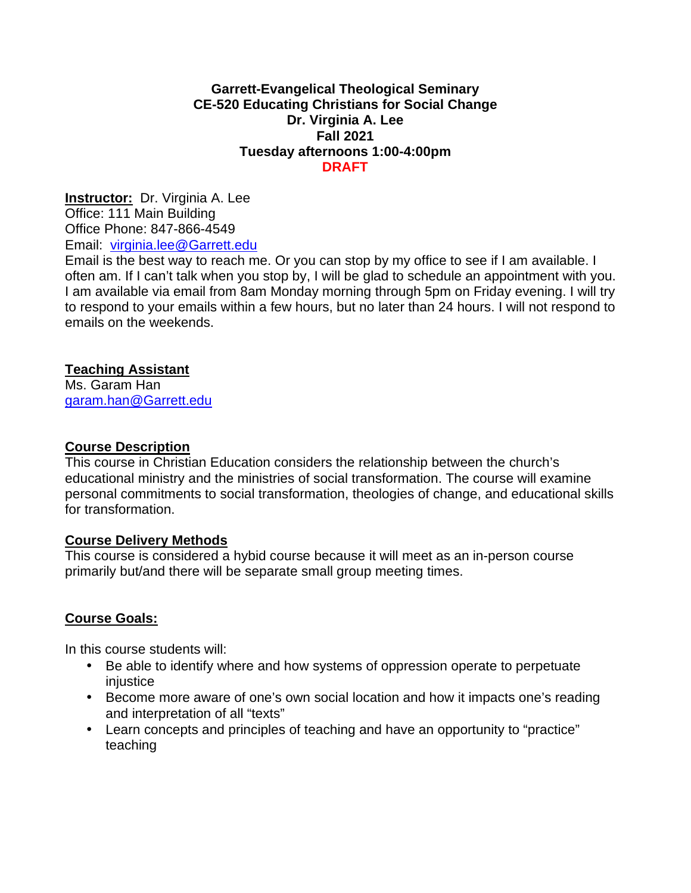### **Garrett-Evangelical Theological Seminary CE-520 Educating Christians for Social Change Dr. Virginia A. Lee Fall 2021 Tuesday afternoons 1:00-4:00pm DRAFT**

**Instructor:** Dr. Virginia A. Lee Office: 111 Main Building Office Phone: 847-866-4549 Email: virginia.lee@Garrett.edu

Email is the best way to reach me. Or you can stop by my office to see if I am available. I often am. If I can't talk when you stop by, I will be glad to schedule an appointment with you. I am available via email from 8am Monday morning through 5pm on Friday evening. I will try to respond to your emails within a few hours, but no later than 24 hours. I will not respond to emails on the weekends.

### **Teaching Assistant**

Ms. Garam Han garam.han@Garrett.edu

### **Course Description**

This course in Christian Education considers the relationship between the church's educational ministry and the ministries of social transformation. The course will examine personal commitments to social transformation, theologies of change, and educational skills for transformation.

### **Course Delivery Methods**

This course is considered a hybid course because it will meet as an in-person course primarily but/and there will be separate small group meeting times.

### **Course Goals:**

In this course students will:

- Be able to identify where and how systems of oppression operate to perpetuate injustice
- Become more aware of one's own social location and how it impacts one's reading and interpretation of all "texts"
- Learn concepts and principles of teaching and have an opportunity to "practice" teaching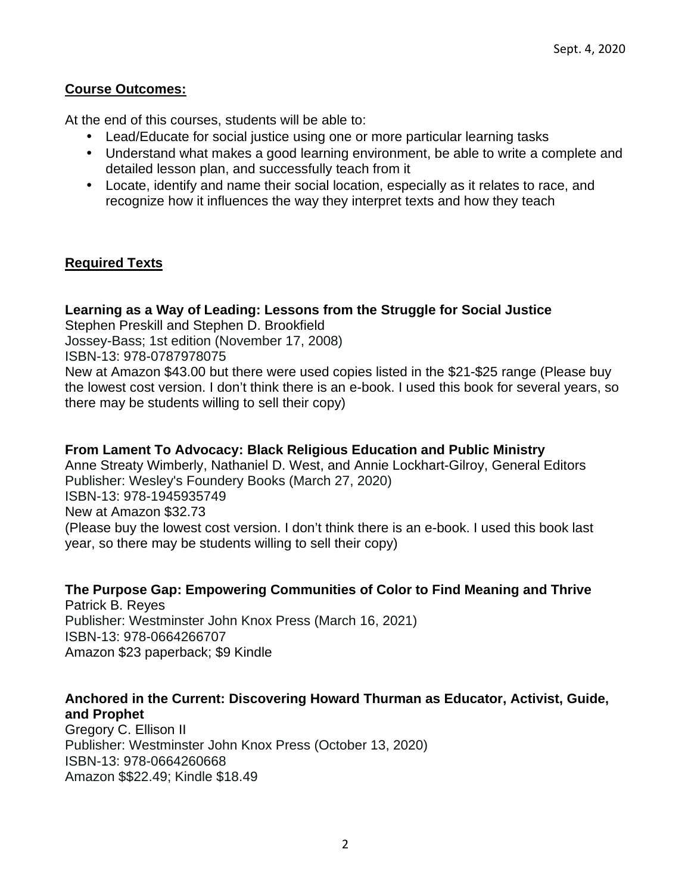### **Course Outcomes:**

At the end of this courses, students will be able to:

- Lead/Educate for social justice using one or more particular learning tasks
- Understand what makes a good learning environment, be able to write a complete and detailed lesson plan, and successfully teach from it
- Locate, identify and name their social location, especially as it relates to race, and recognize how it influences the way they interpret texts and how they teach

### **Required Texts**

### **Learning as a Way of Leading: Lessons from the Struggle for Social Justice**

Stephen Preskill and Stephen D. Brookfield

Jossey-Bass; 1st edition (November 17, 2008)

ISBN-13: 978-0787978075

New at Amazon \$43.00 but there were used copies listed in the \$21-\$25 range (Please buy the lowest cost version. I don't think there is an e-book. I used this book for several years, so there may be students willing to sell their copy)

### **From Lament To Advocacy: Black Religious Education and Public Ministry**

Anne Streaty Wimberly, Nathaniel D. West, and Annie Lockhart-Gilroy, General Editors Publisher: Wesley's Foundery Books (March 27, 2020) ISBN-13: 978-1945935749 New at Amazon \$32.73 (Please buy the lowest cost version. I don't think there is an e-book. I used this book last year, so there may be students willing to sell their copy)

# **The Purpose Gap: Empowering Communities of Color to Find Meaning and Thrive**

Patrick B. Reyes Publisher: Westminster John Knox Press (March 16, 2021) ISBN-13: 978-0664266707 Amazon \$23 paperback; \$9 Kindle

### **Anchored in the Current: Discovering Howard Thurman as Educator, Activist, Guide, and Prophet**

Gregory C. Ellison II Publisher: Westminster John Knox Press (October 13, 2020) ISBN-13: 978-0664260668 Amazon \$\$22.49; Kindle \$18.49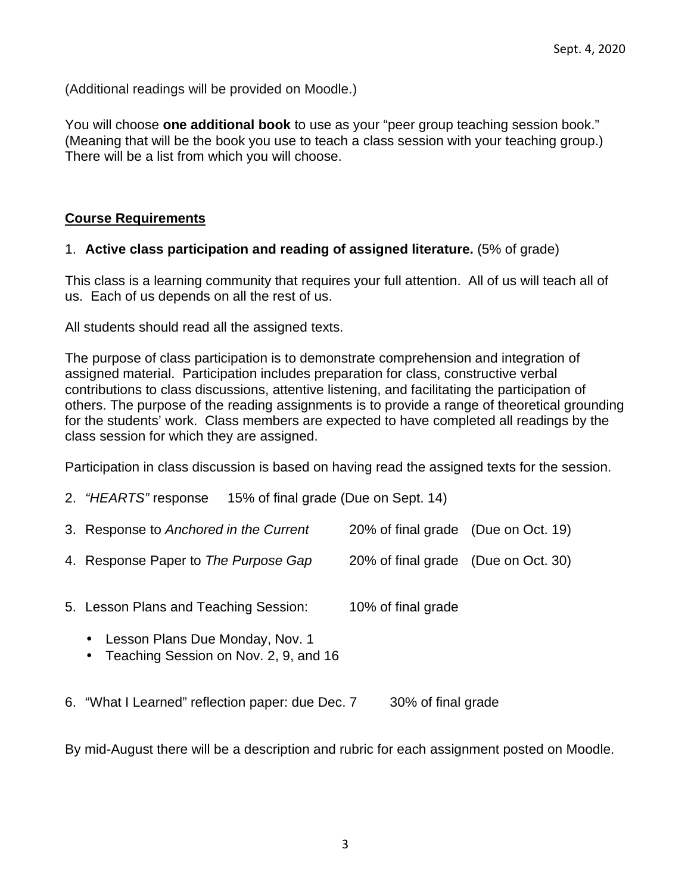(Additional readings will be provided on Moodle.)

You will choose **one additional book** to use as your "peer group teaching session book." (Meaning that will be the book you use to teach a class session with your teaching group.) There will be a list from which you will choose.

### **Course Requirements**

### 1. **Active class participation and reading of assigned literature.** (5% of grade)

This class is a learning community that requires your full attention. All of us will teach all of us. Each of us depends on all the rest of us.

All students should read all the assigned texts.

The purpose of class participation is to demonstrate comprehension and integration of assigned material. Participation includes preparation for class, constructive verbal contributions to class discussions, attentive listening, and facilitating the participation of others. The purpose of the reading assignments is to provide a range of theoretical grounding for the students' work. Class members are expected to have completed all readings by the class session for which they are assigned.

Participation in class discussion is based on having read the assigned texts for the session.

| 2. "HEARTS" response                   | 15% of final grade (Due on Sept. 14) |                                     |  |
|----------------------------------------|--------------------------------------|-------------------------------------|--|
| 3. Response to Anchored in the Current |                                      | 20% of final grade (Due on Oct. 19) |  |
| 4. Response Paper to The Purpose Gap   |                                      | 20% of final grade (Due on Oct. 30) |  |
| 5. Lesson Plans and Teaching Session:  |                                      | 10% of final grade                  |  |

- Lesson Plans Due Monday, Nov. 1
- Teaching Session on Nov. 2, 9, and 16
- 6. "What I Learned" reflection paper: due Dec. 7 30% of final grade

By mid-August there will be a description and rubric for each assignment posted on Moodle.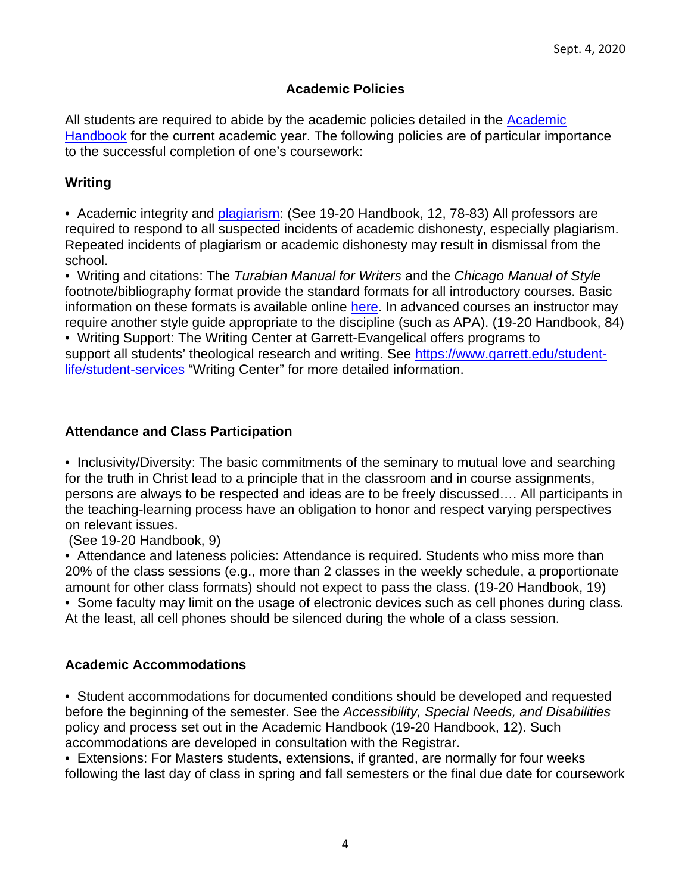### **Academic Policies**

All students are required to abide by the academic policies detailed in the Academic Handbook for the current academic year. The following policies are of particular importance to the successful completion of one's coursework:

### **Writing**

• Academic integrity and plagiarism: (See 19-20 Handbook, 12, 78-83) All professors are required to respond to all suspected incidents of academic dishonesty, especially plagiarism. Repeated incidents of plagiarism or academic dishonesty may result in dismissal from the school.

• Writing and citations: The Turabian Manual for Writers and the Chicago Manual of Style footnote/bibliography format provide the standard formats for all introductory courses. Basic information on these formats is available online here. In advanced courses an instructor may require another style guide appropriate to the discipline (such as APA). (19-20 Handbook, 84)

• Writing Support: The Writing Center at Garrett-Evangelical offers programs to support all students' theological research and writing. See https://www.garrett.edu/studentlife/student-services "Writing Center" for more detailed information.

### **Attendance and Class Participation**

• Inclusivity/Diversity: The basic commitments of the seminary to mutual love and searching for the truth in Christ lead to a principle that in the classroom and in course assignments, persons are always to be respected and ideas are to be freely discussed…. All participants in the teaching-learning process have an obligation to honor and respect varying perspectives on relevant issues.

(See 19-20 Handbook, 9)

• Attendance and lateness policies: Attendance is required. Students who miss more than 20% of the class sessions (e.g., more than 2 classes in the weekly schedule, a proportionate amount for other class formats) should not expect to pass the class. (19-20 Handbook, 19)

• Some faculty may limit on the usage of electronic devices such as cell phones during class. At the least, all cell phones should be silenced during the whole of a class session.

### **Academic Accommodations**

• Student accommodations for documented conditions should be developed and requested before the beginning of the semester. See the Accessibility, Special Needs, and Disabilities policy and process set out in the Academic Handbook (19-20 Handbook, 12). Such accommodations are developed in consultation with the Registrar.

• Extensions: For Masters students, extensions, if granted, are normally for four weeks following the last day of class in spring and fall semesters or the final due date for coursework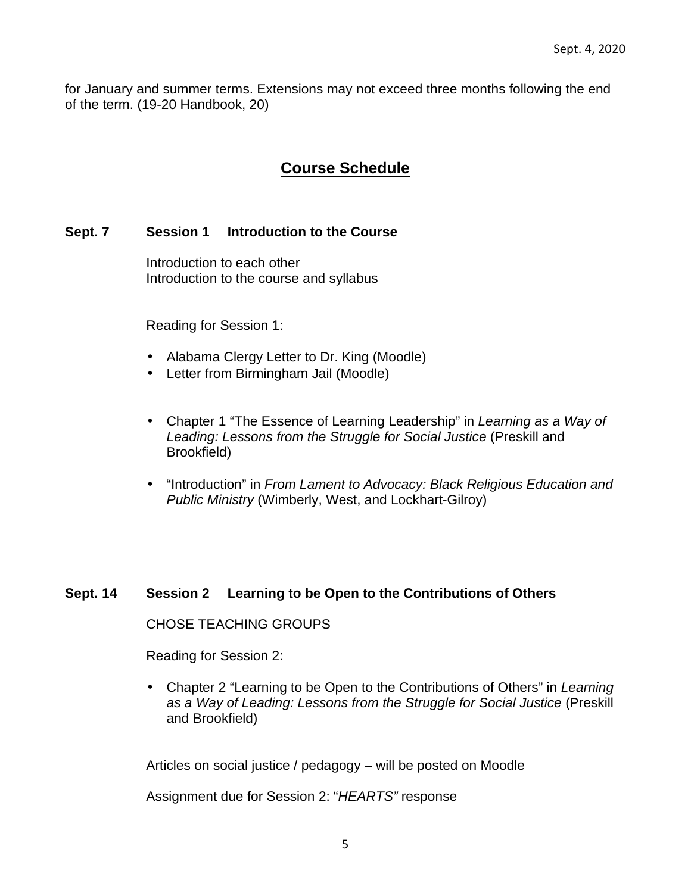for January and summer terms. Extensions may not exceed three months following the end of the term. (19-20 Handbook, 20)

# **Course Schedule**

### **Sept. 7 Session 1 Introduction to the Course**

 Introduction to each other Introduction to the course and syllabus

Reading for Session 1:

- Alabama Clergy Letter to Dr. King (Moodle)
- Letter from Birmingham Jail (Moodle)
- Chapter 1 "The Essence of Learning Leadership" in Learning as a Way of Leading: Lessons from the Struggle for Social Justice (Preskill and Brookfield)
- "Introduction" in From Lament to Advocacy: Black Religious Education and Public Ministry (Wimberly, West, and Lockhart-Gilroy)

### **Sept. 14 Session 2 Learning to be Open to the Contributions of Others**

CHOSE TEACHING GROUPS

Reading for Session 2:

• Chapter 2 "Learning to be Open to the Contributions of Others" in Learning as a Way of Leading: Lessons from the Struggle for Social Justice (Preskill and Brookfield)

Articles on social justice / pedagogy – will be posted on Moodle

Assignment due for Session 2: "HEARTS" response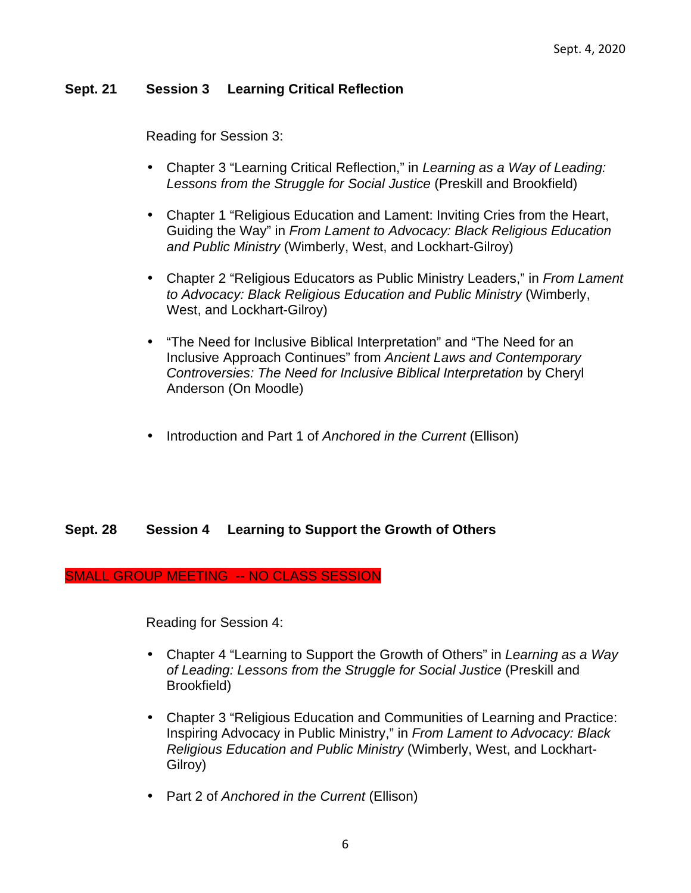### **Sept. 21 Session 3 Learning Critical Reflection**

Reading for Session 3:

- Chapter 3 "Learning Critical Reflection," in Learning as a Way of Leading: Lessons from the Struggle for Social Justice (Preskill and Brookfield)
- Chapter 1 "Religious Education and Lament: Inviting Cries from the Heart, Guiding the Way" in From Lament to Advocacy: Black Religious Education and Public Ministry (Wimberly, West, and Lockhart-Gilroy)
- Chapter 2 "Religious Educators as Public Ministry Leaders," in From Lament to Advocacy: Black Religious Education and Public Ministry (Wimberly, West, and Lockhart-Gilroy)
- "The Need for Inclusive Biblical Interpretation" and "The Need for an Inclusive Approach Continues" from Ancient Laws and Contemporary Controversies: The Need for Inclusive Biblical Interpretation by Cheryl Anderson (On Moodle)
- Introduction and Part 1 of Anchored in the Current (Ellison)

### **Sept. 28 Session 4 Learning to Support the Growth of Others**

#### SMALL GROUP MEETING -- NO CLASS SESSION

Reading for Session 4:

- Chapter 4 "Learning to Support the Growth of Others" in Learning as a Way of Leading: Lessons from the Struggle for Social Justice (Preskill and Brookfield)
- Chapter 3 "Religious Education and Communities of Learning and Practice: Inspiring Advocacy in Public Ministry," in From Lament to Advocacy: Black Religious Education and Public Ministry (Wimberly, West, and Lockhart-Gilroy)
- Part 2 of Anchored in the Current (Ellison)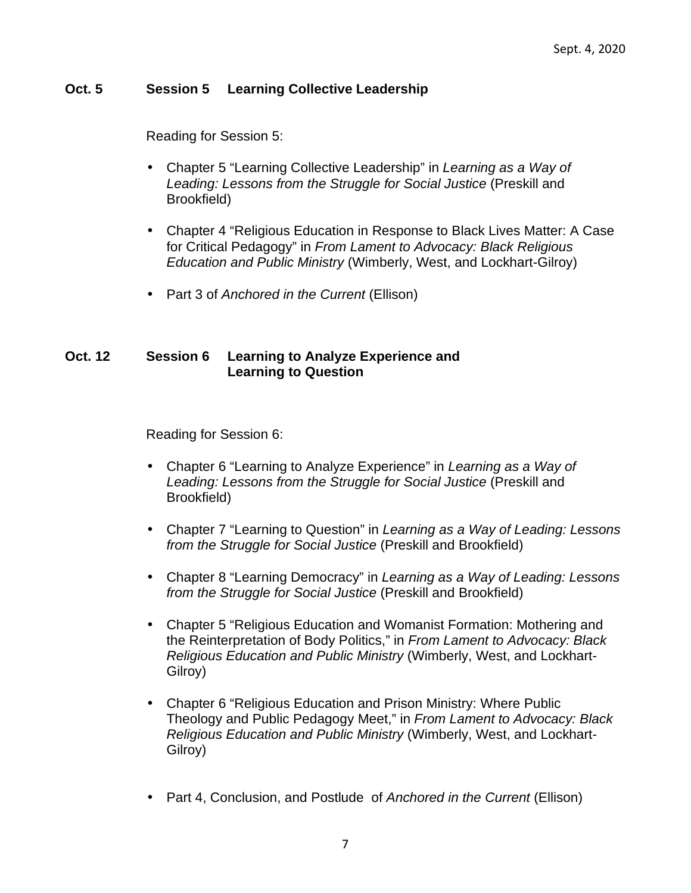### **Oct. 5 Session 5 Learning Collective Leadership**

Reading for Session 5:

- Chapter 5 "Learning Collective Leadership" in Learning as a Way of Leading: Lessons from the Struggle for Social Justice (Preskill and Brookfield)
- Chapter 4 "Religious Education in Response to Black Lives Matter: A Case for Critical Pedagogy" in From Lament to Advocacy: Black Religious Education and Public Ministry (Wimberly, West, and Lockhart-Gilroy)
- Part 3 of Anchored in the Current (Ellison)

### **Oct. 12 Session 6 Learning to Analyze Experience and Learning to Question**

Reading for Session 6:

- Chapter 6 "Learning to Analyze Experience" in Learning as a Way of Leading: Lessons from the Struggle for Social Justice (Preskill and Brookfield)
- Chapter 7 "Learning to Question" in Learning as a Way of Leading: Lessons from the Struggle for Social Justice (Preskill and Brookfield)
- Chapter 8 "Learning Democracy" in Learning as a Way of Leading: Lessons from the Struggle for Social Justice (Preskill and Brookfield)
- Chapter 5 "Religious Education and Womanist Formation: Mothering and the Reinterpretation of Body Politics," in From Lament to Advocacy: Black Religious Education and Public Ministry (Wimberly, West, and Lockhart-Gilroy)
- Chapter 6 "Religious Education and Prison Ministry: Where Public Theology and Public Pedagogy Meet," in From Lament to Advocacy: Black Religious Education and Public Ministry (Wimberly, West, and Lockhart-Gilroy)
- Part 4, Conclusion, and Postlude of Anchored in the Current (Ellison)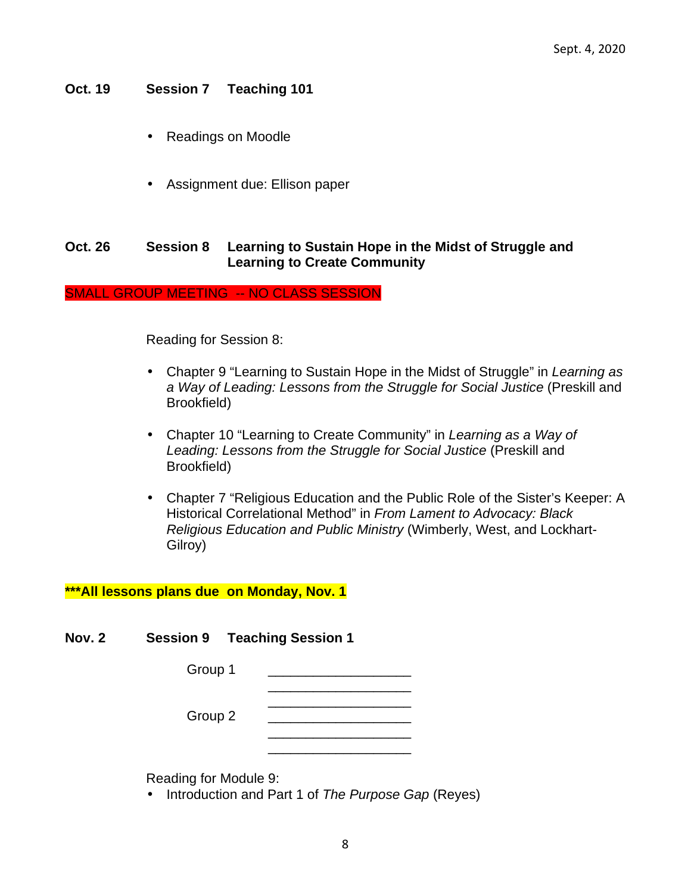### **Oct. 19 Session 7 Teaching 101**

- Readings on Moodle
- Assignment due: Ellison paper

### **Oct. 26 Session 8 Learning to Sustain Hope in the Midst of Struggle and Learning to Create Community**

SMALL GROUP MEETING -- NO CLASS SESSION

Reading for Session 8:

- Chapter 9 "Learning to Sustain Hope in the Midst of Struggle" in Learning as a Way of Leading: Lessons from the Struggle for Social Justice (Preskill and Brookfield)
- Chapter 10 "Learning to Create Community" in Learning as a Way of Leading: Lessons from the Struggle for Social Justice (Preskill and Brookfield)
- Chapter 7 "Religious Education and the Public Role of the Sister's Keeper: A Historical Correlational Method" in From Lament to Advocacy: Black Religious Education and Public Ministry (Wimberly, West, and Lockhart-Gilroy)

#### **\*\*\*All lessons plans due on Monday, Nov. 1**

**Nov. 2 Session 9 Teaching Session 1** 

| Group 1 |         |  |
|---------|---------|--|
|         | Group 2 |  |
|         |         |  |

Reading for Module 9:

• Introduction and Part 1 of The Purpose Gap (Reyes)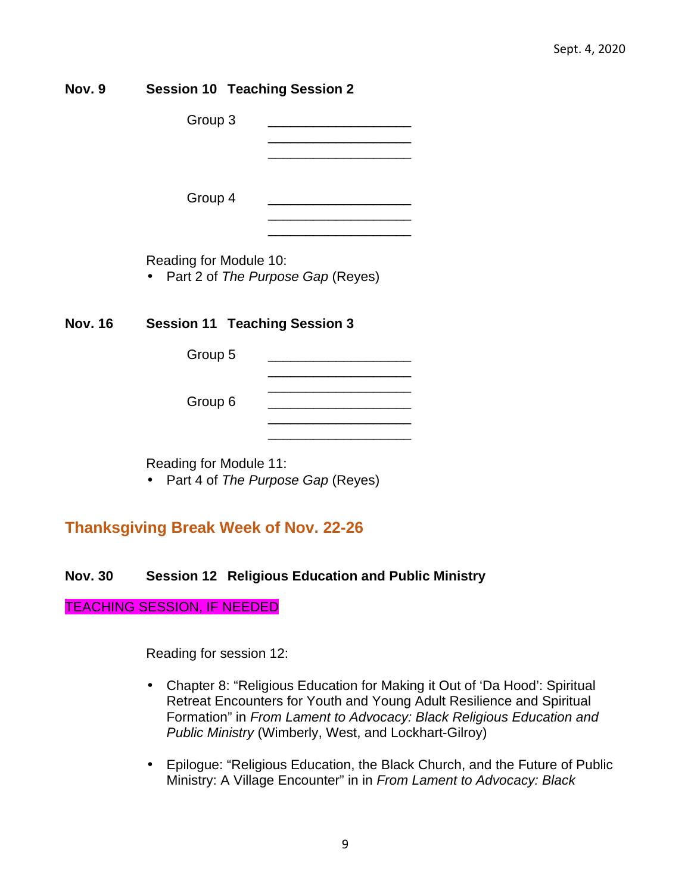| Nov. 9  | <b>Session 10 Teaching Session 2</b> |                                                                                                                       |
|---------|--------------------------------------|-----------------------------------------------------------------------------------------------------------------------|
|         | Group 3                              |                                                                                                                       |
|         | Group 4                              | <u> 1989 - Johann Barbara, martin amerikan basar dan berasal dalam basar dalam basar dalam basar dalam basar dala</u> |
|         | Reading for Module 10:               | Part 2 of The Purpose Gap (Reyes)                                                                                     |
| Nov. 16 | <b>Session 11 Teaching Session 3</b> |                                                                                                                       |
|         | Group 5                              | <u> 1980 - Johann Barbara, martin amerikan basar dan bagi dan bagi dalam bagi dalam bagi dalam bagi dalam bagi da</u> |
|         | Group 6                              | <u> 1989 - Johann Barbara, martin amerikan basar da</u>                                                               |
|         | Reading for Module 11:               | Part 4 of The Purpose Gap (Reyes)                                                                                     |
|         |                                      |                                                                                                                       |

# **Thanksgiving Break Week of Nov. 22-26**

### **Nov. 30 Session 12 Religious Education and Public Ministry**

### TEACHING SESSION, IF NEEDED

Reading for session 12:

- Chapter 8: "Religious Education for Making it Out of 'Da Hood': Spiritual Retreat Encounters for Youth and Young Adult Resilience and Spiritual Formation" in From Lament to Advocacy: Black Religious Education and Public Ministry (Wimberly, West, and Lockhart-Gilroy)
- Epilogue: "Religious Education, the Black Church, and the Future of Public Ministry: A Village Encounter" in in From Lament to Advocacy: Black